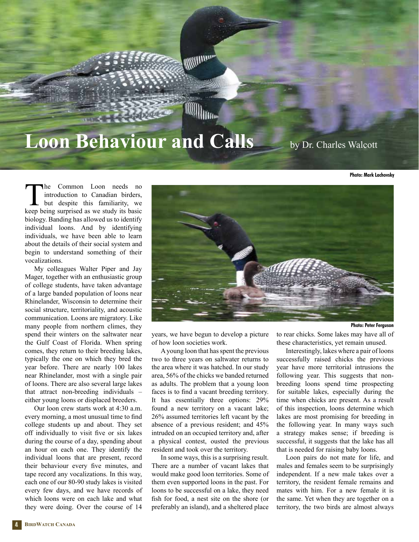## **Loon Behaviour and Calls** by Dr. Charles Walcott

**William** 

**William** 

**Photo: Mark Lachovsky**

The Common Loon needs no<br>introduction to Canadian birders,<br>but despite this familiarity, we<br>keen being surprised as we study its basic introduction to Canadian birders, but despite this familiarity, we keep being surprised as we study its basic biology. Banding has allowed us to identify individual loons. And by identifying individuals, we have been able to learn about the details of their social system and begin to understand something of their vocalizations.

My colleagues Walter Piper and Jay Mager, together with an enthusiastic group of college students, have taken advantage of a large banded population of loons near Rhinelander, Wisconsin to determine their social structure, territoriality, and acoustic communication. Loons are migratory. Like many people from northern climes, they spend their winters on the saltwater near the Gulf Coast of Florida. When spring comes, they return to their breeding lakes, typically the one on which they bred the year before. There are nearly 100 lakes near Rhinelander, most with a single pair of loons. There are also several large lakes that attract non-breeding individuals – either young loons or displaced breeders.

Our loon crew starts work at 4:30 a.m. every morning, a most unusual time to find college students up and about. They set off individually to visit five or six lakes during the course of a day, spending about an hour on each one. They identify the individual loons that are present, record their behaviour every five minutes, and tape record any vocalizations. In this way, each one of our 80-90 study lakes is visited every few days, and we have records of which loons were on each lake and what they were doing. Over the course of 14



A young loon that has spent the previous two to three years on saltwater returns to the area where it was hatched. In our study area, 56% of the chicks we banded returned as adults. The problem that a young loon faces is to find a vacant breeding territory. It has essentially three options: 29% found a new territory on a vacant lake; 26% assumed territories left vacant by the absence of a previous resident; and 45% intruded on an occupied territory and, after a physical contest, ousted the previous resident and took over the territory.

In some ways, this is a surprising result. There are a number of vacant lakes that would make good loon territories. Some of them even supported loons in the past. For loons to be successful on a lake, they need fish for food, a nest site on the shore (or preferably an island), and a sheltered place

**Photo: Peter Ferguson**

to rear chicks. Some lakes may have all of these characteristics, yet remain unused.

Interestingly, lakes where a pair of loons successfully raised chicks the previous year have more territorial intrusions the following year. This suggests that nonbreeding loons spend time prospecting for suitable lakes, especially during the time when chicks are present. As a result of this inspection, loons determine which lakes are most promising for breeding in the following year. In many ways such a strategy makes sense; if breeding is successful, it suggests that the lake has all that is needed for raising baby loons.

Loon pairs do not mate for life, and males and females seem to be surprisingly independent. If a new male takes over a territory, the resident female remains and mates with him. For a new female it is the same. Yet when they are together on a territory, the two birds are almost always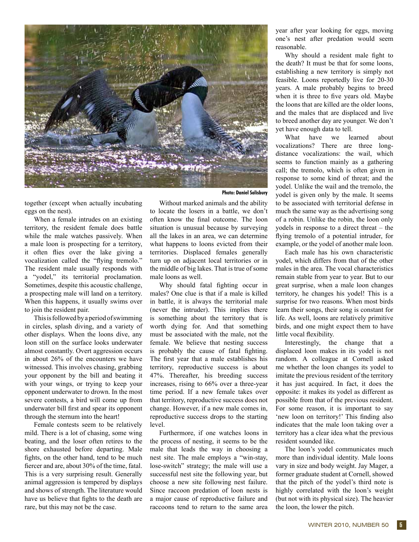

together (except when actually incubating eggs on the nest).

When a female intrudes on an existing territory, the resident female does battle while the male watches passively. When a male loon is prospecting for a territory, it often flies over the lake giving a vocalization called the "flying tremolo." The resident male usually responds with a "yodel," its territorial proclamation. Sometimes, despite this acoustic challenge, a prospecting male will land on a territory. When this happens, it usually swims over to join the resident pair.

This is followed by a period of swimming in circles, splash diving, and a variety of other displays. When the loons dive, any loon still on the surface looks underwater almost constantly. Overt aggression occurs in about 26% of the encounters we have witnessed. This involves chasing, grabbing your opponent by the bill and beating it with your wings, or trying to keep your opponent underwater to drown. In the most severe contests, a bird will come up from underwater bill first and spear its opponent through the sternum into the heart!

Female contests seem to be relatively mild. There is a lot of chasing, some wing beating, and the loser often retires to the shore exhausted before departing. Male fights, on the other hand, tend to be much fiercer and are, about 30% of the time, fatal. This is a very surprising result. Generally animal aggression is tempered by displays and shows of strength. The literature would have us believe that fights to the death are rare, but this may not be the case.

Without marked animals and the ability to locate the losers in a battle, we don't often know the final outcome. The loon situation is unusual because by surveying all the lakes in an area, we can determine what happens to loons evicted from their territories. Displaced females generally turn up on adjacent local territories or in the middle of big lakes. That is true of some male loons as well.

Why should fatal fighting occur in males? One clue is that if a male is killed in battle, it is always the territorial male (never the intruder). This implies there is something about the territory that is worth dying for. And that something must be associated with the male, not the female. We believe that nesting success is probably the cause of fatal fighting. The first year that a male establishes his territory, reproductive success is about 47%. Thereafter, his breeding success increases, rising to 66% over a three-year time period. If a new female takes over that territory, reproductive success does not change. However, if a new male comes in, reproductive success drops to the starting level.

Furthermore, if one watches loons in the process of nesting, it seems to be the male that leads the way in choosing a nest site. The male employs a "win-stay, lose-switch" strategy; the male will use a successful nest site the following year, but choose a new site following nest failure. Since raccoon predation of loon nests is a major cause of reproductive failure and raccoons tend to return to the same area year after year looking for eggs, moving one's nest after predation would seem reasonable.

Why should a resident male fight to the death? It must be that for some loons, establishing a new territory is simply not feasible. Loons reportedly live for 20-30 years. A male probably begins to breed when it is three to five years old. Maybe the loons that are killed are the older loons, and the males that are displaced and live to breed another day are younger. We don't yet have enough data to tell.

What have we learned about vocalizations? There are three longdistance vocalizations: the wail, which seems to function mainly as a gathering call; the tremolo, which is often given in response to some kind of threat; and the yodel. Unlike the wail and the tremolo, the yodel is given only by the male. It seems to be associated with territorial defense in much the same way as the advertising song of a robin. Unlike the robin, the loon only yodels in response to a direct threat – the flying tremolo of a potential intruder, for example, or the yodel of another male loon.

Each male has his own characteristic yodel, which differs from that of the other males in the area. The vocal characteristics remain stable from year to year. But to our great surprise, when a male loon changes territory, he changes his yodel! This is a surprise for two reasons. When most birds learn their songs, their song is constant for life. As well, loons are relatively primitive birds, and one might expect them to have little vocal flexibility.

Interestingly, the change that a displaced loon makes in its yodel is not random. A colleague at Cornell asked me whether the loon changes its yodel to imitate the previous resident of the territory it has just acquired. In fact, it does the opposite: it makes its yodel as different as possible from that of the previous resident. For some reason, it is important to say 'new loon on territory!' This finding also indicates that the male loon taking over a territory has a clear idea what the previous resident sounded like.

The loon's yodel communicates much more than individual identity. Male loons vary in size and body weight. Jay Mager, a former graduate student at Cornell, showed that the pitch of the yodel's third note is highly correlated with the loon's weight (but not with its physical size). The heavier the loon, the lower the pitch.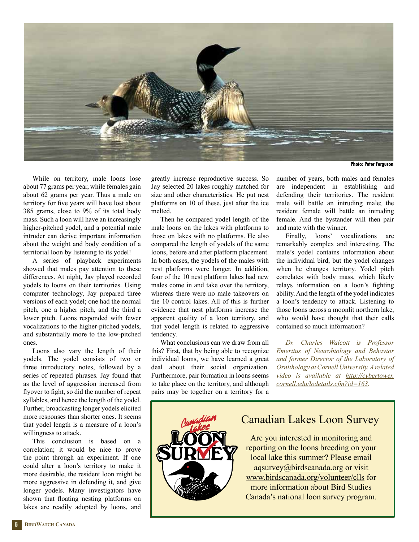

**Photo: Peter Ferguson**

While on territory, male loons lose about 77 grams per year, while females gain about 62 grams per year. Thus a male on territory for five years will have lost about 385 grams, close to 9% of its total body mass. Such a loon will have an increasingly higher-pitched yodel, and a potential male intruder can derive important information about the weight and body condition of a territorial loon by listening to its yodel!

A series of playback experiments showed that males pay attention to these differences. At night, Jay played recorded yodels to loons on their territories. Using computer technology, Jay prepared three versions of each yodel; one had the normal pitch, one a higher pitch, and the third a lower pitch. Loons responded with fewer vocalizations to the higher-pitched yodels, and substantially more to the low-pitched ones.

Loons also vary the length of their yodels. The yodel consists of two or three introductory notes, followed by a series of repeated phrases. Jay found that as the level of aggression increased from flyover to fight, so did the number of repeat syllables, and hence the length of the yodel. Further, broadcasting longer yodels elicited more responses than shorter ones. It seems that yodel length is a measure of a loon's willingness to attack.

This conclusion is based on a correlation; it would be nice to prove the point through an experiment. If one could alter a loon's territory to make it more desirable, the resident loon might be more aggressive in defending it, and give longer yodels. Many investigators have shown that floating nesting platforms on lakes are readily adopted by loons, and greatly increase reproductive success. So Jay selected 20 lakes roughly matched for size and other characteristics. He put nest platforms on 10 of these, just after the ice melted.

Then he compared yodel length of the male loons on the lakes with platforms to those on lakes with no platforms. He also compared the length of yodels of the same loons, before and after platform placement. In both cases, the yodels of the males with nest platforms were longer. In addition, four of the 10 nest platform lakes had new males come in and take over the territory, whereas there were no male takeovers on the 10 control lakes. All of this is further evidence that nest platforms increase the apparent quality of a loon territory, and that yodel length is related to aggressive tendency.

What conclusions can we draw from all this? First, that by being able to recognize individual loons, we have learned a great deal about their social organization. Furthermore, pair formation in loons seems to take place on the territory, and although pairs may be together on a territory for a

number of years, both males and females are independent in establishing and defending their territories. The resident male will battle an intruding male; the resident female will battle an intruding female. And the bystander will then pair and mate with the winner.

Finally, loons' vocalizations are remarkably complex and interesting. The male's yodel contains information about the individual bird, but the yodel changes when he changes territory. Yodel pitch correlates with body mass, which likely relays information on a loon's fighting ability. And the length of the yodel indicates a loon's tendency to attack. Listening to those loons across a moonlit northern lake, who would have thought that their calls contained so much information?

*Dr. Charles Walcott is Professor Emeritus of Neurobiology and Behavior and former Director of the Laboratory of Ornithology at Cornell University. A related video is available at http://cybertower. cornell.edu/lodetails.cfm?id=163.*



## Canadian Lakes Loon Survey

Are you interested in monitoring and reporting on the loons breeding on your local lake this summer? Please email aqsurvey@birdscanada.org or visit www.birdscanada.org/volunteer/clls for more information about Bird Studies Canada's national loon survey program.